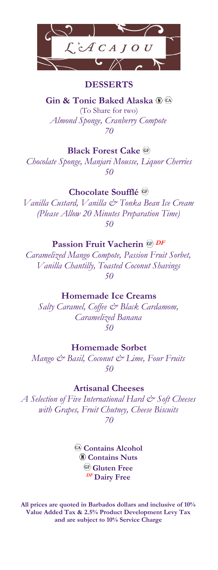

### **DESSERTS**

**Gin & Tonic Baked Alaska** (To Share for two) *Almond Sponge, Cranberry Compote 70*

#### **Black Forest Cake**

*Chocolate Sponge, Manjari Mousse, Liquor Cherries 50*

## **Chocolate Soufflé**

*Vanilla Custard, Vanilla & Tonka Bean Ice Cream (Please Allow 20 Minutes Preparation Time) 50*

# **Passion Fruit Vacherin CE**  $DF$

*Caramelized Mango Compote, Passion Fruit Sorbet, Vanilla Chantilly, Toasted Coconut Shavings 50*

#### **Homemade Ice Creams**

*Salty Caramel, Coffee & Black Cardamom, Caramelized Banana 50*

# **Homemade Sorbet**

*Mango & Basil, Coconut & Lime, Four Fruits 50*

## **Artisanal Cheeses**

*A Selection of Five International Hard & Soft Cheeses with Grapes, Fruit Chutney, Cheese Biscuits 70*

> **Contains Alcohol Contains Nuts Gluten Free DF Dairy Free**

**All prices are quoted in Barbados dollars and inclusive of 10% Value Added Tax & 2.5% Product Development Levy Tax and are subject to 10% Service Charge**